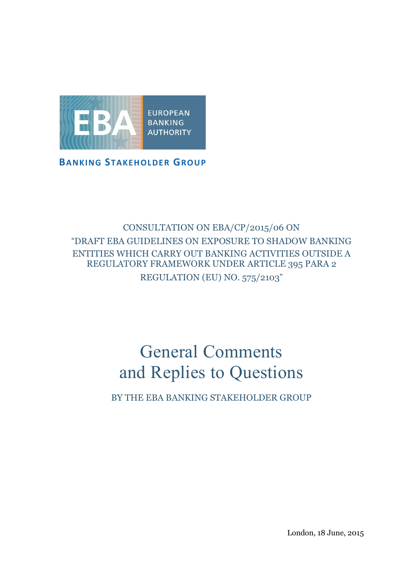

**BANKING STAKEHOLDER GROUP**

## CONSULTATION ON EBA/CP/2015/06 ON "DRAFT EBA GUIDELINES ON EXPOSURE TO SHADOW BANKING ENTITIES WHICH CARRY OUT BANKING ACTIVITIES OUTSIDE A REGULATORY FRAMEWORK UNDER ARTICLE 395 PARA 2 REGULATION (EU) NO. 575/2103"

# General Comments and Replies to Questions

BY THE EBA BANKING STAKEHOLDER GROUP

London, 18 June, 2015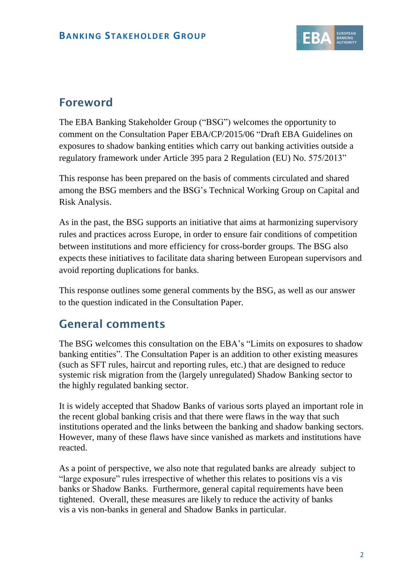

# **Foreword**

The EBA Banking Stakeholder Group ("BSG") welcomes the opportunity to comment on the Consultation Paper EBA/CP/2015/06 "Draft EBA Guidelines on exposures to shadow banking entities which carry out banking activities outside a regulatory framework under Article 395 para 2 Regulation (EU) No. 575/2013"

This response has been prepared on the basis of comments circulated and shared among the BSG members and the BSG's Technical Working Group on Capital and Risk Analysis.

As in the past, the BSG supports an initiative that aims at harmonizing supervisory rules and practices across Europe, in order to ensure fair conditions of competition between institutions and more efficiency for cross-border groups. The BSG also expects these initiatives to facilitate data sharing between European supervisors and avoid reporting duplications for banks.

This response outlines some general comments by the BSG, as well as our answer to the question indicated in the Consultation Paper.

## **General comments**

The BSG welcomes this consultation on the EBA's "Limits on exposures to shadow banking entities". The Consultation Paper is an addition to other existing measures (such as SFT rules, haircut and reporting rules, etc.) that are designed to reduce systemic risk migration from the (largely unregulated) Shadow Banking sector to the highly regulated banking sector.

It is widely accepted that Shadow Banks of various sorts played an important role in the recent global banking crisis and that there were flaws in the way that such institutions operated and the links between the banking and shadow banking sectors. However, many of these flaws have since vanished as markets and institutions have reacted.

As a point of perspective, we also note that regulated banks are already subject to "large exposure" rules irrespective of whether this relates to positions vis a vis banks or Shadow Banks. Furthermore, general capital requirements have been tightened. Overall, these measures are likely to reduce the activity of banks vis a vis non-banks in general and Shadow Banks in particular.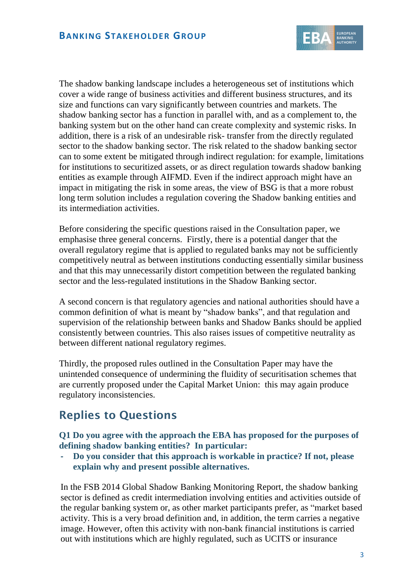

The shadow banking landscape includes a heterogeneous set of institutions which cover a wide range of business activities and different business structures, and its size and functions can vary significantly between countries and markets. The shadow banking sector has a function in parallel with, and as a complement to, the banking system but on the other hand can create complexity and systemic risks. In addition, there is a risk of an undesirable risk- transfer from the directly regulated sector to the shadow banking sector. The risk related to the shadow banking sector can to some extent be mitigated through indirect regulation: for example, limitations for institutions to securitized assets, or as direct regulation towards shadow banking entities as example through AIFMD. Even if the indirect approach might have an impact in mitigating the risk in some areas, the view of BSG is that a more robust long term solution includes a regulation covering the Shadow banking entities and its intermediation activities.

Before considering the specific questions raised in the Consultation paper, we emphasise three general concerns. Firstly, there is a potential danger that the overall regulatory regime that is applied to regulated banks may not be sufficiently competitively neutral as between institutions conducting essentially similar business and that this may unnecessarily distort competition between the regulated banking sector and the less-regulated institutions in the Shadow Banking sector.

A second concern is that regulatory agencies and national authorities should have a common definition of what is meant by "shadow banks", and that regulation and supervision of the relationship between banks and Shadow Banks should be applied consistently between countries. This also raises issues of competitive neutrality as between different national regulatory regimes.

Thirdly, the proposed rules outlined in the Consultation Paper may have the unintended consequence of undermining the fluidity of securitisation schemes that are currently proposed under the Capital Market Union: this may again produce regulatory inconsistencies.

## **Replies to Questions**

**Q1 Do you agree with the approach the EBA has proposed for the purposes of defining shadow banking entities? In particular:**

**- Do you consider that this approach is workable in practice? If not, please explain why and present possible alternatives.**

In the FSB 2014 Global Shadow Banking Monitoring Report, the shadow banking sector is defined as credit intermediation involving entities and activities outside of the regular banking system or, as other market participants prefer, as "market based activity. This is a very broad definition and, in addition, the term carries a negative image. However, often this activity with non-bank financial institutions is carried out with institutions which are highly regulated, such as UCITS or insurance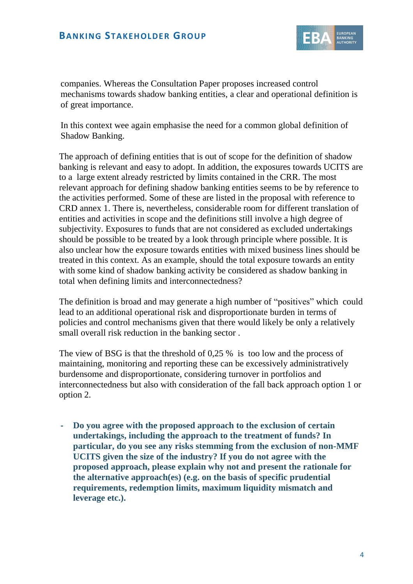

companies. Whereas the Consultation Paper proposes increased control mechanisms towards shadow banking entities, a clear and operational definition is of great importance.

In this context wee again emphasise the need for a common global definition of Shadow Banking.

The approach of defining entities that is out of scope for the definition of shadow banking is relevant and easy to adopt. In addition, the exposures towards UCITS are to a large extent already restricted by limits contained in the CRR. The most relevant approach for defining shadow banking entities seems to be by reference to the activities performed. Some of these are listed in the proposal with reference to CRD annex 1. There is, nevertheless, considerable room for different translation of entities and activities in scope and the definitions still involve a high degree of subjectivity. Exposures to funds that are not considered as excluded undertakings should be possible to be treated by a look through principle where possible. It is also unclear how the exposure towards entities with mixed business lines should be treated in this context. As an example, should the total exposure towards an entity with some kind of shadow banking activity be considered as shadow banking in total when defining limits and interconnectedness?

The definition is broad and may generate a high number of "positives" which could lead to an additional operational risk and disproportionate burden in terms of policies and control mechanisms given that there would likely be only a relatively small overall risk reduction in the banking sector .

The view of BSG is that the threshold of 0,25 % is too low and the process of maintaining, monitoring and reporting these can be excessively administratively burdensome and disproportionate, considering turnover in portfolios and interconnectedness but also with consideration of the fall back approach option 1 or option 2.

**- Do you agree with the proposed approach to the exclusion of certain undertakings, including the approach to the treatment of funds? In particular, do you see any risks stemming from the exclusion of non-MMF UCITS given the size of the industry? If you do not agree with the proposed approach, please explain why not and present the rationale for the alternative approach(es) (e.g. on the basis of specific prudential requirements, redemption limits, maximum liquidity mismatch and leverage etc.).**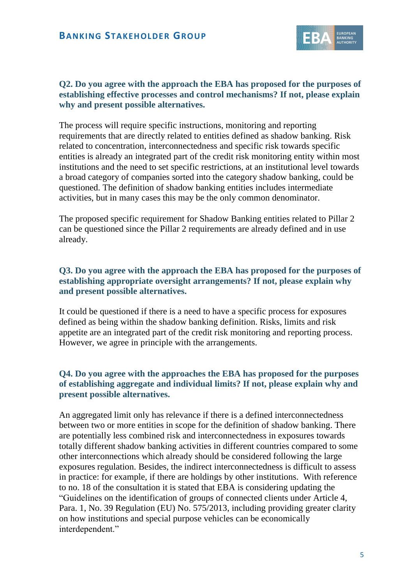

#### **Q2. Do you agree with the approach the EBA has proposed for the purposes of establishing effective processes and control mechanisms? If not, please explain why and present possible alternatives.**

The process will require specific instructions, monitoring and reporting requirements that are directly related to entities defined as shadow banking. Risk related to concentration, interconnectedness and specific risk towards specific entities is already an integrated part of the credit risk monitoring entity within most institutions and the need to set specific restrictions, at an institutional level towards a broad category of companies sorted into the category shadow banking, could be questioned. The definition of shadow banking entities includes intermediate activities, but in many cases this may be the only common denominator.

The proposed specific requirement for Shadow Banking entities related to Pillar 2 can be questioned since the Pillar 2 requirements are already defined and in use already.

#### **Q3. Do you agree with the approach the EBA has proposed for the purposes of establishing appropriate oversight arrangements? If not, please explain why and present possible alternatives.**

It could be questioned if there is a need to have a specific process for exposures defined as being within the shadow banking definition. Risks, limits and risk appetite are an integrated part of the credit risk monitoring and reporting process. However, we agree in principle with the arrangements.

### **Q4. Do you agree with the approaches the EBA has proposed for the purposes of establishing aggregate and individual limits? If not, please explain why and present possible alternatives.**

An aggregated limit only has relevance if there is a defined interconnectedness between two or more entities in scope for the definition of shadow banking. There are potentially less combined risk and interconnectedness in exposures towards totally different shadow banking activities in different countries compared to some other interconnections which already should be considered following the large exposures regulation. Besides, the indirect interconnectedness is difficult to assess in practice: for example, if there are holdings by other institutions. With reference to no. 18 of the consultation it is stated that EBA is considering updating the "Guidelines on the identification of groups of connected clients under Article 4, Para. 1, No. 39 Regulation (EU) No. 575/2013, including providing greater clarity on how institutions and special purpose vehicles can be economically interdependent."